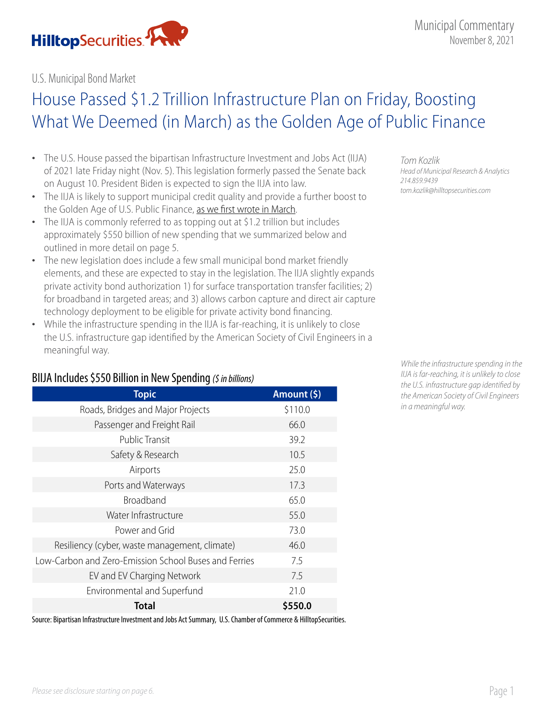

#### U.S. Municipal Bond Market

# House Passed \$1.2 Trillion Infrastructure Plan on Friday, Boosting What We Deemed (in March) as the Golden Age of Public Finance

- The U.S. House passed the bipartisan Infrastructure Investment and Jobs Act (IIJA) of 2021 late Friday night (Nov. 5). This legislation formerly passed the Senate back on August 10. President Biden is expected to sign the IIJA into law.
- The IIJA is likely to support municipal credit quality and provide a further boost to the Golden Age of U.S. Public Finance, [as we first wrote in March.](https://www.hilltopsecurities.com/wp-content/uploads/sites/3/2021/08/municipal-commentary_32321.pdf)
- The IIJA is commonly referred to as topping out at \$1.2 trillion but includes approximately \$550 billion of new spending that we summarized below and outlined in more detail on page 5.
- The new legislation does include a few small municipal bond market friendly elements, and these are expected to stay in the legislation. The IIJA slightly expands private activity bond authorization 1) for surface transportation transfer facilities; 2) for broadband in targeted areas; and 3) allows carbon capture and direct air capture technology deployment to be eligible for private activity bond financing.
- While the infrastructure spending in the IIJA is far-reaching, it is unlikely to close the U.S. infrastructure gap identified by the American Society of Civil Engineers in a meaningful way.

#### BIIJA Includes \$550 Billion in New Spending *(\$ in billions)*

| <b>Topic</b>                                          | Amount (\$) |
|-------------------------------------------------------|-------------|
| Roads, Bridges and Major Projects                     | \$110.0     |
| Passenger and Freight Rail                            | 66.0        |
| <b>Public Transit</b>                                 | 39.2        |
| Safety & Research                                     | 10.5        |
| Airports                                              | 25.0        |
| Ports and Waterways                                   | 17.3        |
| Broadband                                             | 65.0        |
| Water Infrastructure                                  | 55.0        |
| Power and Grid                                        | 73.0        |
| Resiliency (cyber, waste management, climate)         | 46.0        |
| Low-Carbon and Zero-Emission School Buses and Ferries | 7.5         |
| EV and EV Charging Network                            | 7.5         |
| Environmental and Superfund                           | 21.0        |
| <b>Total</b>                                          | \$550.0     |

Source: Bipartisan Infrastructure Investment and Jobs Act Summary, U.S. Chamber of Commerce & HilltopSecurities.

*Tom Kozlik Head of Municipal Research & Analytics 214.859.9439 tom.kozlik@hilltopsecurities.com*

*While the infrastructure spending in the IIJA is far-reaching, it is unlikely to close the U.S. infrastructure gap identified by the American Society of Civil Engineers in a meaningful way.*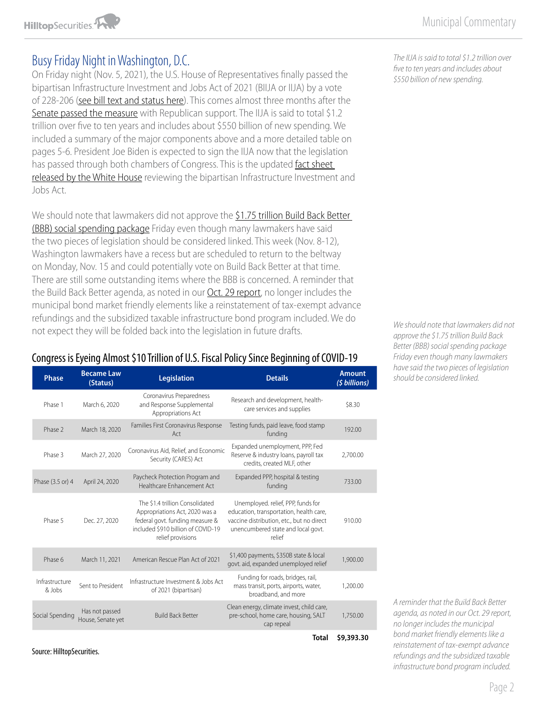# Busy Friday Night in Washington, D.C.

On Friday night (Nov. 5, 2021), the U.S. House of Representatives finally passed the bipartisan Infrastructure Investment and Jobs Act of 2021 (BIIJA or IIJA) by a vote of 228-206 [\(see bill text and status here\)](https://www.congress.gov/bill/117th-congress/house-bill/3684/text). This comes almost three months after the [Senate passed the measure](https://www.hilltopsecurities.com/wp-content/uploads/sites/3/2021/09/municipal-commentary_9.1.21.pdf) with Republican support. The IIJA is said to total \$1.2 trillion over five to ten years and includes about \$550 billion of new spending. We included a summary of the major components above and a more detailed table on pages 5-6. President Joe Biden is expected to sign the IIJA now that the legislation has passed through both chambers of Congress. This is the updated fact sheet [released by the White House](https://www.whitehouse.gov/briefing-room/statements-releases/2021/08/02/updated-fact-sheet-bipartisan-infrastructure-investment-and-jobs-act/) reviewing the bipartisan Infrastructure Investment and Jobs Act.

We should note that lawmakers did not approve the \$1.75 trillion Build Back Better [\(BBB\) social spending package](https://www.hilltopsecurities.com/wp-content/uploads/sites/3/2021/10/municipal-commentary_10.29.21.pdf) Friday even though many lawmakers have said the two pieces of legislation should be considered linked. This week (Nov. 8-12), Washington lawmakers have a recess but are scheduled to return to the beltway on Monday, Nov. 15 and could potentially vote on Build Back Better at that time. There are still some outstanding items where the BBB is concerned. A reminder that the Build Back Better agenda, as noted in our **Oct. 29 report**, no longer includes the municipal bond market friendly elements like a reinstatement of tax-exempt advance refundings and the subsidized taxable infrastructure bond program included. We do not expect they will be folded back into the legislation in future drafts.

#### Congress is Eyeing Almost \$10 Trillion of U.S. Fiscal Policy Since Beginning of COVID-19

| <b>Phase</b>             | <b>Became Law</b><br>(Status)       | <b>Legislation</b>                                                                                                                                              | <b>Details</b>                                                                                                                                                             | <b>Amount</b><br>(\$ billions) |
|--------------------------|-------------------------------------|-----------------------------------------------------------------------------------------------------------------------------------------------------------------|----------------------------------------------------------------------------------------------------------------------------------------------------------------------------|--------------------------------|
| Phase 1                  | March 6, 2020                       | Coronavirus Preparedness<br>and Response Supplemental<br>Appropriations Act                                                                                     | Research and development, health-<br>care services and supplies                                                                                                            | \$8.30                         |
| Phase 2                  | March 18, 2020                      | Families First Coronavirus Response<br>Act                                                                                                                      | Testing funds, paid leave, food stamp<br>funding                                                                                                                           | 192.00                         |
| Phase 3                  | March 27, 2020                      | Coronavirus Aid, Relief, and Economic<br>Security (CARES) Act                                                                                                   | Expanded unemployment, PPP, Fed<br>Reserve & industry loans, payroll tax<br>credits, created MLF, other                                                                    | 2,700.00                       |
| Phase (3.5 or) 4         | April 24, 2020                      | Paycheck Protection Program and<br>Healthcare Enhancement Act                                                                                                   | Expanded PPP, hospital & testing<br>funding                                                                                                                                | 733.00                         |
| Phase 5                  | Dec. 27, 2020                       | The \$1.4 trillion Consolidated<br>Appropriations Act, 2020 was a<br>federal govt. funding measure &<br>included \$910 billion of COVID-19<br>relief provisions | Unemployed. relief, PPP, funds for<br>education, transportation, health care,<br>vaccine distribution, etc., but no direct<br>unencumbered state and local govt.<br>relief | 910.00                         |
| Phase 6                  | March 11, 2021                      | American Rescue Plan Act of 2021                                                                                                                                | \$1,400 payments, \$350B state & local<br>govt. aid, expanded unemployed relief                                                                                            | 1,900.00                       |
| Infrastructure<br>& Jobs | Sent to President                   | Infrastructure Investment & Jobs Act<br>of 2021 (bipartisan)                                                                                                    | Funding for roads, bridges, rail,<br>mass transit, ports, airports, water,<br>broadband, and more                                                                          | 1,200.00                       |
| Social Spending          | Has not passed<br>House, Senate yet | <b>Build Back Better</b>                                                                                                                                        | Clean energy, climate invest, child care,<br>pre-school, home care, housing, SALT<br>cap repeal                                                                            | 1,750.00                       |
|                          |                                     |                                                                                                                                                                 | Total                                                                                                                                                                      | \$9,393.30                     |

Source: HilltopSecurities.

*The IIJA is said to total \$1.2 trillion over five to ten years and includes about \$550 billion of new spending.* 

*We should note that lawmakers did not approve the [\\$1.75 trillion Build Back](https://www.hilltopsecurities.com/wp-content/uploads/sites/3/2021/10/municipal-commentary_10.29.21.pdf)  [Better \(BBB\) social spending package](https://www.hilltopsecurities.com/wp-content/uploads/sites/3/2021/10/municipal-commentary_10.29.21.pdf) Friday even though many lawmakers have said the two pieces of legislation should be considered linked.* 

*A reminder that the Build Back Better agenda, as noted in our Oct. 29 report, no longer includes the municipal bond market friendly elements like a reinstatement of tax-exempt advance refundings and the subsidized taxable infrastructure bond program included.*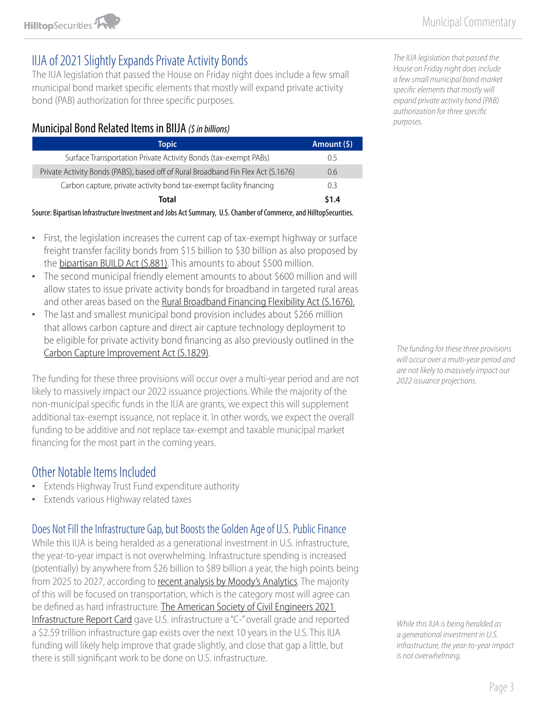

## IIJA of 2021 Slightly Expands Private Activity Bonds

The IIJA legislation that passed the House on Friday night does include a few small municipal bond market specific elements that mostly will expand private activity bond (PAB) authorization for three specific purposes.

#### Municipal Bond Related Items in BIIJA *(\$ in billions)*

| <b>Topic</b>                                                                      | Amount (\$) |
|-----------------------------------------------------------------------------------|-------------|
| Surface Transportation Private Activity Bonds (tax-exempt PABs)                   | () 5        |
| Private Activity Bonds (PABS), based off of Rural Broadband Fin Flex Act (S.1676) | 0.6         |
| Carbon capture, private activity bond tax-exempt facility financing               | 03          |
| Total                                                                             | \$1.4       |
|                                                                                   |             |

Source: Bipartisan Infrastructure Investment and Jobs Act Summary, U.S. Chamber of Commerce, and HilltopSecurities.

- First, the legislation increases the current cap of tax-exempt highway or surface freight transfer facility bonds from \$15 billion to \$30 billion as also proposed by the [bipartisan BUILD Act \(S.881\)](https://www.congress.gov/bill/117th-congress/senate-bill/881?s=1&r=1). This amounts to about \$500 million.
- The second municipal friendly element amounts to about \$600 million and will allow states to issue private activity bonds for broadband in targeted rural areas and other areas based on the [Rural Broadband Financing Flexibility Act \(S.1676\).](https://www.congress.gov/bill/117th-congress/senate-bill/1676?q=%7B%22search%22%3A%5B%22s+1676%22%5D%7D&r=1&s=1)
- The last and smallest municipal bond provision includes about \$266 million that allows carbon capture and direct air capture technology deployment to be eligible for private activity bond financing as also previously outlined in the [Carbon Capture Improvement Act \(S.1829\).](https://www.congress.gov/bill/117th-congress/senate-bill/1829/text?r=7&s=1)

The funding for these three provisions will occur over a multi-year period and are not likely to massively impact our 2022 issuance projections. While the majority of the non-municipal specific funds in the IIJA are grants, we expect this will supplement additional tax-exempt issuance, not replace it. In other words, we expect the overall funding to be additive and not replace tax-exempt and taxable municipal market financing for the most part in the coming years.

## Other Notable Items Included

- **Extends Highway Trust Fund expenditure authority**
- Extends various Highway related taxes

## Does Not Fill the Infrastructure Gap, but Boosts the Golden Age of U.S. Public Finance

While this IIJA is being heralded as a generational investment in U.S. infrastructure, the year-to-year impact is not overwhelming. Infrastructure spending is increased (potentially) by anywhere from \$26 billion to \$89 billion a year, the high points being from 2025 to 2027, according to [recent analysis by Moody's Analytics.](https://www.moodysanalytics.com/-/media/article/2021/macroeconomic-consequences-of-the-infrastructure-investment-and-jobs-act-and-build-back-better-framework.pdf) The majority of this will be focused on transportation, which is the category most will agree can be defined as hard infrastructure. [The American Society of Civil Engineers 2021](https://infrastructurereportcard.org/wp-content/uploads/2020/12/2021-IRC-Executive-Summary-1.pdf)  [Infrastructure Report Card](https://infrastructurereportcard.org/wp-content/uploads/2020/12/2021-IRC-Executive-Summary-1.pdf) gave U.S. infrastructure a "C-" overall grade and reported a \$2.59 trillion infrastructure gap exists over the next 10 years in the U.S. This IIJA funding will likely help improve that grade slightly, and close that gap a little, but there is still significant work to be done on U.S. infrastructure.

*The IIJA legislation that passed the House on Friday night does include a few small municipal bond market specific elements that mostly will expand private activity bond (PAB) authorization for three specific purposes.* 

*The funding for these three provisions will occur over a multi-year period and are not likely to massively impact our 2022 issuance projections.* 

*While this IIJA is being heralded as a generational investment in U.S. infrastructure, the year-to-year impact is not overwhelming.*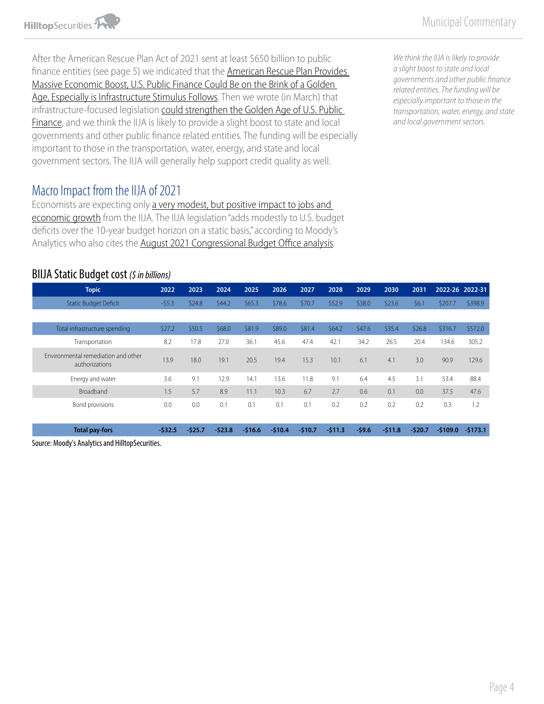

After the American Rescue Plan Act of 2021 sent at least \$650 billion to public finance entities (see page 5) we indicated that the American Rescue Plan Provides [Massive Economic Boost, U.S. Public Finance Could Be on the Brink of a Golden](https://www.hilltopsecurities.com/wp-content/uploads/sites/3/2021/08/municipal-commentary_31921-v2.pdf)  [Age, Especially is Infrastructure Stimulus Follows.](https://www.hilltopsecurities.com/wp-content/uploads/sites/3/2021/08/municipal-commentary_31921-v2.pdf) Then we wrote (in March) that infrastructure-focused legislation [could strengthen the Golden Age of U.S. Public](https://www.hilltopsecurities.com/wp-content/uploads/sites/3/2021/08/municipal-commentary_32321.pdf)  [Finance,](https://www.hilltopsecurities.com/wp-content/uploads/sites/3/2021/08/municipal-commentary_32321.pdf) and we think the IIJA is likely to provide a slight boost to state and local governments and other public finance related entities. The funding will be especially important to those in the transportation, water, energy, and state and local government sectors. The IIJA will generally help support credit quality as well.

*We think the IIJA is likely to provide a slight boost to state and local governments and other public finance related entities. The funding will be especially important to those in the transportation, water, energy, and state and local government sectors.* 

## Macro Impact from the IIJA of 2021

Economists are expecting only a very modest, but positive impact to jobs and [economic growth](https://www.wsj.com/articles/infrastructure-law-seen-having-small-positive-impact-on-growth-11636191000) from the IIJA. The IIJA legislation "adds modestly to U.S. budget deficits over the 10-year budget horizon on a static basis," according to Moody's Analytics who also cites the [August 2021 Congressional Budget Office analysis](https://www.cbo.gov/publication/57406).

#### BIIJA Static Budget cost *(\$ in billions)*

| <b>Topic</b>                                          | 2022     | 2023     | 2024     | 2025     | 2026     | 2027     | 2028     | 2029    | 2030     | 2031     |           | 2022-26 2022-31 |
|-------------------------------------------------------|----------|----------|----------|----------|----------|----------|----------|---------|----------|----------|-----------|-----------------|
| <b>Static Budget Deficit</b>                          | $-55.3$  | \$24.8   | 544.2    | \$65.3   | \$78.6   | \$70.7   | \$52.9   | \$38.0  | \$23.6   | \$6.1    | \$207.7   | \$398.9         |
|                                                       |          |          |          |          |          |          |          |         |          |          |           |                 |
| Total infrastructure spending                         | \$27.2   | \$50.5   | \$68.0   | \$81.9   | \$89.0   | \$81.4   | \$64.2   | \$47.6  | \$35.4   | \$26.8   | \$316.7   | \$572.0         |
| Transportation                                        | 8.2      | 17.8     | 27.0     | 36.1     | 45.6     | 47.4     | 42.1     | 34.2    | 26.5     | 20.4     | 134.6     | 305.2           |
| Environmental remediation and other<br>authorizations | 13.9     | 18.0     | 19.1     | 20.5     | 19.4     | 15.3     | 10.1     | 6.1     | 4.1      | 3.0      | 90.9      | 129.6           |
| Energy and water                                      | 3.6      | 9.1      | 12.9     | 14.1     | 13.6     | 11.8     | 9.1      | 6.4     | 4.5      | 3.1      | 53.4      | 88.4            |
| Broadband                                             | 1.5      | 5.7      | 8.9      | 11.1     | 10.3     | 6.7      | 2.7      | 0.6     | 0.1      | 0.0      | 37.5      | 47.6            |
| Bond provisions                                       | 0.0      | 0.0      | 0.1      | 0.1      | 0.1      | 0.1      | 0.2      | 0.2     | 0.2      | 0.2      | 0.3       | 1.2             |
| <b>Total pay-fors</b>                                 | $-532.5$ | $-525.7$ | $-523.8$ | $-516.6$ | $-510.4$ | $-510.7$ | $-511.3$ | $-59.6$ | $-511.8$ | $-520.7$ | $-5109.0$ | $-5173.1$       |

Source: Moody's Analytics and HilltopSecurities.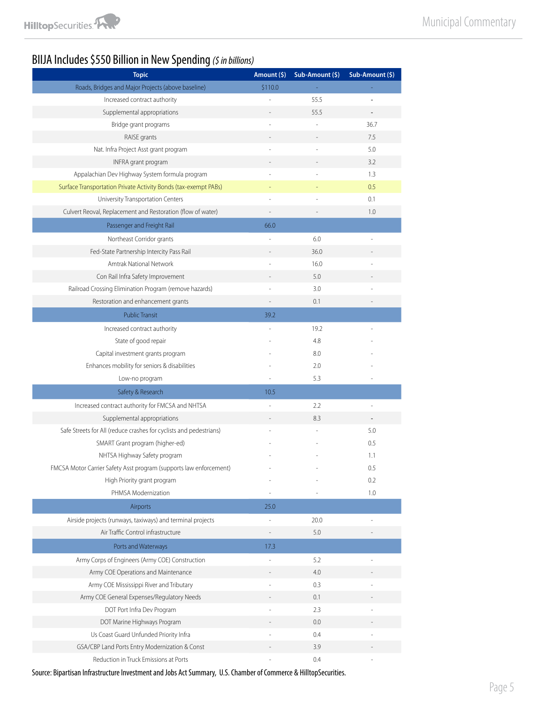# BIIJA Includes \$550 Billion in New Spending *(\$ in billions)*

| <b>Topic</b>                                                       | Amount (\$) | Sub-Amount (\$) | Sub-Amount (\$)          |
|--------------------------------------------------------------------|-------------|-----------------|--------------------------|
| Roads, Bridges and Major Projects (above baseline)                 | \$110.0     |                 |                          |
| Increased contract authority                                       |             | 55.5            |                          |
| Supplemental appropriations                                        |             | 55.5            | $\overline{\phantom{a}}$ |
| Bridge grant programs                                              |             |                 | 36.7                     |
| RAISE grants                                                       |             |                 | 7.5                      |
| Nat. Infra Project Asst grant program                              |             |                 | 5.0                      |
| INFRA grant program                                                |             |                 | 3.2                      |
| Appalachian Dev Highway System formula program                     |             |                 | 1.3                      |
| Surface Transportation Private Activity Bonds (tax-exempt PABs)    |             |                 | 0.5                      |
| University Transportation Centers                                  |             |                 | 0.1                      |
| Culvert Reoval, Replacement and Restoration (flow of water)        |             |                 | 1.0                      |
| Passenger and Freight Rail                                         | 66.0        |                 |                          |
| Northeast Corridor grants                                          |             | 6.0             |                          |
| Fed-State Partnership Intercity Pass Rail                          |             | 36.0            |                          |
| Amtrak National Network                                            |             | 16.0            |                          |
| Con Rail Infra Safety Improvement                                  |             | 5.0             |                          |
| Railroad Crossing Elimination Program (remove hazards)             |             | 3.0             |                          |
| Restoration and enhancement grants                                 |             | 0.1             |                          |
| <b>Public Transit</b>                                              | 39.2        |                 |                          |
| Increased contract authority                                       |             | 19.2            |                          |
| State of good repair                                               |             | 4.8             |                          |
| Capital investment grants program                                  |             | 8.0             |                          |
| Enhances mobility for seniors & disabilities                       |             | 2.0             |                          |
| Low-no program                                                     |             | 5.3             |                          |
| Safety & Research                                                  | 10.5        |                 |                          |
| Increased contract authority for FMCSA and NHTSA                   |             | 2.2             |                          |
| Supplemental appropriations                                        |             | 8.3             |                          |
| Safe Streets for All (reduce crashes for cyclists and pedestrians) |             |                 | 5.0                      |
| SMART Grant program (higher-ed)                                    |             |                 | 0.5                      |
| NHTSA Highway Safety program                                       |             |                 | 1.1                      |
| FMCSA Motor Carrier Safety Asst program (supports law enforcement) |             |                 | 0.5                      |
| High Priority grant program                                        |             |                 | 0.2                      |
| PHMSA Modernization                                                |             |                 | 1.0                      |
| Airports                                                           | 25.0        |                 |                          |
| Airside projects (runways, taxiways) and terminal projects         |             | 20.0            |                          |
| Air Traffic Control infrastructure                                 |             | 5.0             |                          |
| Ports and Waterways                                                | 17.3        |                 |                          |
| Army Corps of Engineers (Army COE) Construction                    | L           | 5.2             |                          |
| Army COE Operations and Maintenance                                |             | 4.0             |                          |
| Army COE Mississippi River and Tributary                           |             | 0.3             |                          |
| Army COE General Expenses/Regulatory Needs                         |             | 0.1             |                          |
| DOT Port Infra Dev Program                                         |             | 2.3             |                          |
| DOT Marine Highways Program                                        |             | 0.0             |                          |
| Us Coast Guard Unfunded Priority Infra                             |             | 0.4             |                          |
| GSA/CBP Land Ports Entry Modernization & Const                     |             | 3.9             |                          |
| Reduction in Truck Emissions at Ports                              |             | 0.4             |                          |

Source: Bipartisan Infrastructure Investment and Jobs Act Summary, U.S. Chamber of Commerce & HilltopSecurities.